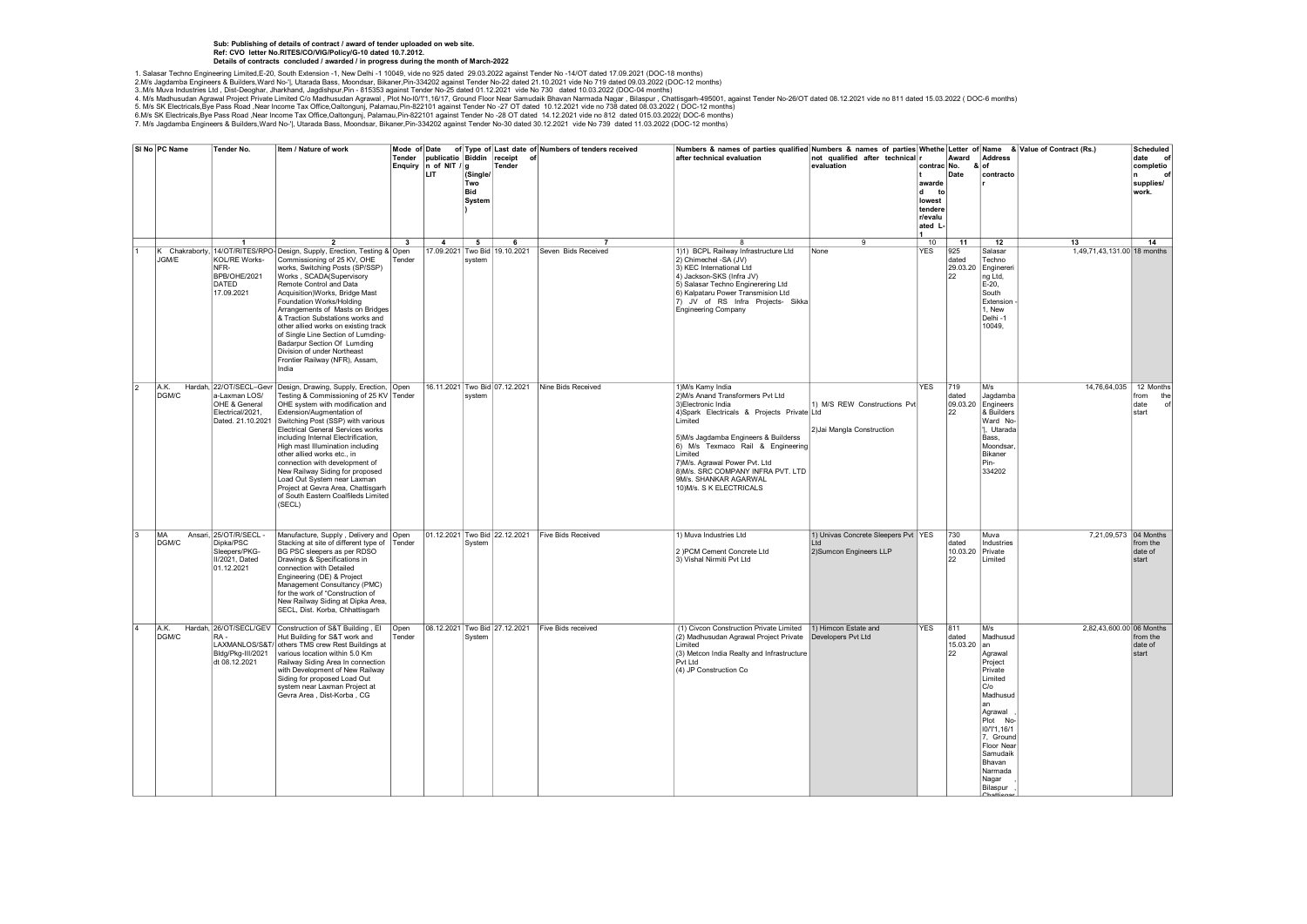## Sub: Publishing of details of contract / award of tender uploaded on web site. Ref: CVO letter No.RITES/CO/VIG/Policy/G-10 dated 10.7.2012. Details of contracts concluded / awarded / in progress during the month of March-2022

1. Salasar Techno Engineering Limlted,≞20, South Extension -1, New Dehi -1 10049, vide no 925 dated 29.03.2022 against Tender No-22 dated 21.10.2021 vide No 730\_dated 10.93.2022 (DOC-12 months)<br>2.M/s Jagdamba Engineering

|    | SI No PC Name | Tender No.                                                                                   | Item / Nature of work                                                                                                                                                                                                                                                                                                                                                                                                                                                                                                                                                        | Mode of Date           | Enquiry n of NIT / g<br><b>LIT</b> | (Single/<br>Two<br>Bid<br>System | Tender publicatio Biddin receipt of<br>Tender | of Type of Last date of Numbers of tenders received | Numbers & names of parties qualified Numbers & names of parties Whethe Letter of Name & Value of Contract (Rs.)<br>after technical evaluation                                                                                                                                                                                                            | not qualified after technical r<br>evaluation                        | contrac No.<br>awarde<br>to<br>. h<br>lowest<br>tendere<br>r/evalu<br>ated L- | Date                                   | Award Address<br>& of<br>contracto                                                                                                                                                                         |                                   | Scheduled<br>date<br>$\sim$<br>completio<br>l n<br>supplies/<br>work. |
|----|---------------|----------------------------------------------------------------------------------------------|------------------------------------------------------------------------------------------------------------------------------------------------------------------------------------------------------------------------------------------------------------------------------------------------------------------------------------------------------------------------------------------------------------------------------------------------------------------------------------------------------------------------------------------------------------------------------|------------------------|------------------------------------|----------------------------------|-----------------------------------------------|-----------------------------------------------------|----------------------------------------------------------------------------------------------------------------------------------------------------------------------------------------------------------------------------------------------------------------------------------------------------------------------------------------------------------|----------------------------------------------------------------------|-------------------------------------------------------------------------------|----------------------------------------|------------------------------------------------------------------------------------------------------------------------------------------------------------------------------------------------------------|-----------------------------------|-----------------------------------------------------------------------|
|    | JGM/E         | $\overline{1}$<br>KOL/RE Works-<br>NFR-<br>BPB/OHE/2021<br>DATED<br>17.09.2021               | $\overline{2}$<br>K Chakraborty, 14/OT/RITES/RPO-Design, Supply, Erection, Testing & Open<br>Commissioning of 25 KV, OHE<br>works, Switching Posts (SP/SSP)<br>Works, SCADA(Supervisory<br>Remote Control and Data<br>Acquisition)Works, Bridge Mast<br>Foundation Works/Holding<br>Arrangements of Masts on Bridges<br>& Traction Substations works and<br>other allied works on existing track<br>of Single Line Section of Lumding-<br>Badarpur Section Of Lumding<br>Division of under Northeast<br>Frontier Railway (NFR), Assam,<br>India                              | $\mathbf{3}$<br>Tender | $\mathbf{A}$                       | $5\overline{5}$<br>system        | ĥ<br>17.09.2021 Two Bid 19.10.2021            | Seven Bids Received                                 | 1)1) BCPL Railway Infrastructure Ltd<br>2) Chimechel -SA (JV)<br>3) KEC International Ltd<br>4) Jackson-SKS (Infra JV)<br>5) Salasar Techno Enginerering Ltd<br>6) Kalpataru Power Transmision Ltd<br>7) JV of RS Infra Projects- Sikka<br>Engineering Company                                                                                           | ۹<br>None                                                            | 10<br><b>YES</b>                                                              | 11<br>925<br>dated<br>22               | 12<br>Salasar<br>Techno<br>29.03.20 Enginereri<br>ng Ltd,<br>$E-20$<br>South<br>Extension<br>1. New<br>Delhi-1<br>10049.                                                                                   | 13<br>1,49,71,43,131.00 18 months | 14                                                                    |
| 2  | A.K.<br>DGM/C | a-Laxman LOS/<br>OHE & General<br>Electrical/2021,                                           | Hardah, 22/OT/SECL-Gevr Design, Drawing, Supply, Erection, Open<br>Testing & Commissioning of 25 KV Tender<br>OHE system with modification and<br>Extension/Augmentation of<br>Dated. 21.10.2021 Switching Post (SSP) with various<br>Electrical General Services works<br>including Internal Electrification,<br>High mast Illumination including<br>other allied works etc., in<br>connection with development of<br>New Railway Siding for proposed<br>Load Out System near Laxman<br>Project at Gevra Area, Chattisgarh<br>of South Eastern Coalfileds Limited<br>(SECL) |                        |                                    | system                           |                                               | 16.11.2021 Two Bid 07.12.2021 Nine Bids Received    | 1)M/s Kamy India<br>2)M/s Anand Transformers Pvt Ltd<br>3)Electronic India<br>4)Spark Electricals & Projects Private Ltd<br>Limited<br>5)M/s Jagdamba Engineers & Builderss<br>6) M/s Texmaco Rail & Engineering<br>Limited<br>7) M/s. Agrawal Power Pvt. Ltd<br>8) M/s. SRC COMPANY INFRA PVT. LTD<br>9M/s. SHANKAR AGARWAL<br>10) M/s. S K ELECTRICALS | 1) M/S REW Constructions Pvt<br>2) Jai Mangla Construction           | <b>YES</b>                                                                    | 719<br>dated<br>22                     | M/s<br>Jagdamba<br>09.03.20 Engineers<br>& Builders<br>Ward No-<br>' , Utarada<br>Bass,<br>Moondsar,<br>Bikaner<br>Pin-<br>334202                                                                          | 14,76,64,035                      | 12 Months<br>the<br>from<br>date<br>start                             |
| 3  | MA<br>DGM/C   | Ansari, 25/OT/R/SECL -<br>Dipka/PSC<br>Sleepers/PKG-<br><b>II/2021</b> , Dated<br>01.12.2021 | Manufacture, Supply, Delivery and Open<br>Stacking at site of different type of Tender<br>BG PSC sleepers as per RDSO<br>Drawings & Specifications in<br>connection with Detailed<br>Engineering (DE) & Project<br>Management Consultancy (PMC)<br>for the work of "Construction of<br>New Railway Siding at Dipka Area,<br>SECL, Dist. Korba, Chhattisgarh                                                                                                                                                                                                                  |                        |                                    | System                           |                                               | 01.12.2021 Two Bid 22.12.2021 Five Bids Received    | 1) Muva Industries Ltd<br>2 )PCM Cement Concrete Ltd<br>3) Vishal Nirmiti Pvt Ltd                                                                                                                                                                                                                                                                        | 1) Univas Concrete Sleepers Pvt YES<br>ht<br>2) Sumcon Engineers LLP |                                                                               | 730<br>dated<br>10.03.20 Private<br>22 | Muva<br>Industries<br>Limited                                                                                                                                                                              | 7,21,09,573 04 Months             | from the<br>date of<br>start                                          |
| 14 | A.K.<br>DGM/C | $RA -$<br>Bldg/Pkg-III/2021<br>dt 08.12.2021                                                 | Hardah, 26/OT/SECL/GEV Construction of S&T Building, El<br>Hut Building for S&T work and<br>LAXMANLOS/S&T/ others TMS crew Rest Buildings at<br>various location within 5.0 Km<br>Railway Siding Area In connection<br>with Development of New Railway<br>Siding for proposed Load Out<br>system near Laxman Project at<br>Gevra Area, Dist-Korba, CG                                                                                                                                                                                                                        | Open<br>Tender         |                                    | System                           |                                               | 08.12.2021 Two Bid 27.12.2021 Five Bids received    | (1) Civcon Construction Private Limited<br>(2) Madhusudan Agrawal Project Private<br>Limited<br>(3) Metcon India Realty and Infrastructure<br>Pvt Ltd<br>(4) JP Construction Co                                                                                                                                                                          | 1) Himcon Estate and<br>Developers Pvt Ltd                           | <b>YES</b>                                                                    | 811<br>dated<br>15.03.20 an<br>22      | M/s<br>Madhusud<br>Agrawal<br>Project<br>Private<br>Limited<br>C/O<br>Madhusud<br>an<br>Agrawal<br>Plot No-<br>10/11,16/1<br>7, Ground<br>Floor Near<br>Samudaik<br>Bhavan<br>Narmada<br>Nagar<br>Bilaspur | 2.82.43.600.00 06 Months          | from the<br>date of<br>start                                          |

Chattisgar